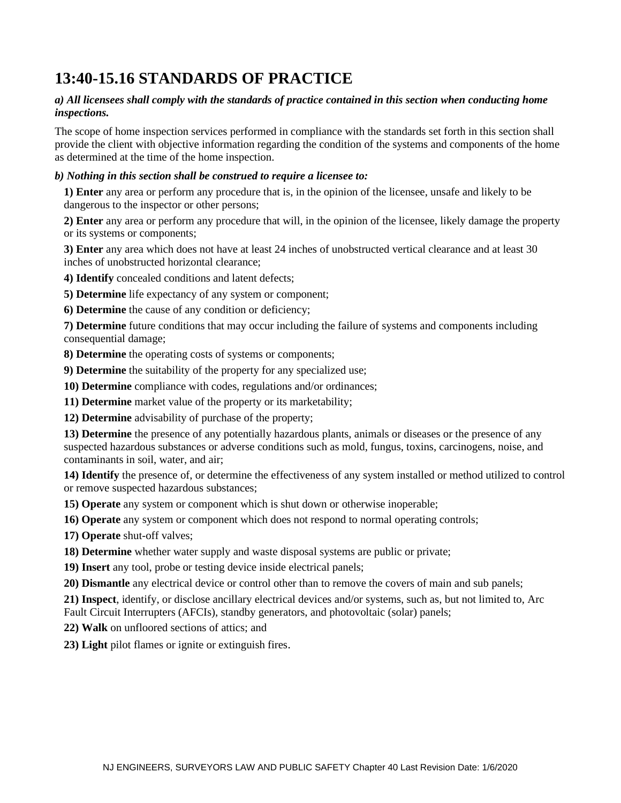# **13:40-15.16 STANDARDS OF PRACTICE**

#### *a) All licensees shall comply with the standards of practice contained in this section when conducting home inspections.*

The scope of home inspection services performed in compliance with the standards set forth in this section shall provide the client with objective information regarding the condition of the systems and components of the home as determined at the time of the home inspection.

#### *b) Nothing in this section shall be construed to require a licensee to:*

**1) Enter** any area or perform any procedure that is, in the opinion of the licensee, unsafe and likely to be dangerous to the inspector or other persons;

**2) Enter** any area or perform any procedure that will, in the opinion of the licensee, likely damage the property or its systems or components;

**3) Enter** any area which does not have at least 24 inches of unobstructed vertical clearance and at least 30 inches of unobstructed horizontal clearance;

**4) Identify** concealed conditions and latent defects;

**5) Determine** life expectancy of any system or component;

**6) Determine** the cause of any condition or deficiency;

**7) Determine** future conditions that may occur including the failure of systems and components including consequential damage;

**8) Determine** the operating costs of systems or components;

**9) Determine** the suitability of the property for any specialized use;

**10) Determine** compliance with codes, regulations and/or ordinances;

**11) Determine** market value of the property or its marketability;

**12) Determine** advisability of purchase of the property;

**13) Determine** the presence of any potentially hazardous plants, animals or diseases or the presence of any suspected hazardous substances or adverse conditions such as mold, fungus, toxins, carcinogens, noise, and contaminants in soil, water, and air;

**14) Identify** the presence of, or determine the effectiveness of any system installed or method utilized to control or remove suspected hazardous substances;

**15) Operate** any system or component which is shut down or otherwise inoperable;

**16) Operate** any system or component which does not respond to normal operating controls;

**17) Operate** shut-off valves;

**18) Determine** whether water supply and waste disposal systems are public or private;

**19) Insert** any tool, probe or testing device inside electrical panels;

**20) Dismantle** any electrical device or control other than to remove the covers of main and sub panels;

**21) Inspect**, identify, or disclose ancillary electrical devices and/or systems, such as, but not limited to, Arc Fault Circuit Interrupters (AFCIs), standby generators, and photovoltaic (solar) panels;

**22) Walk** on unfloored sections of attics; and

**23) Light** pilot flames or ignite or extinguish fires.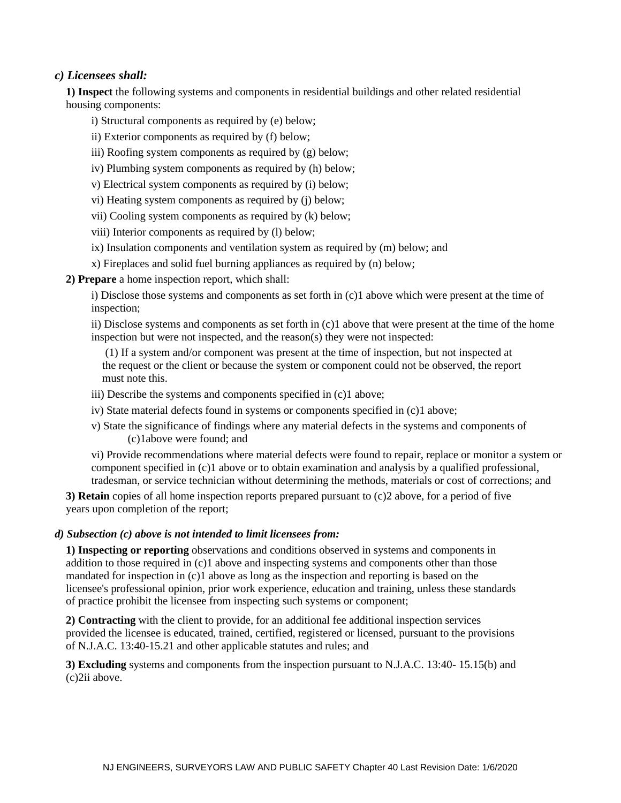## *c) Licensees shall:*

 **1) Inspect** the following systems and components in residential buildings and other related residential housing components:

- i) Structural components as required by (e) below;
- ii) Exterior components as required by (f) below;
- iii) Roofing system components as required by (g) below;
- iv) Plumbing system components as required by (h) below;
- v) Electrical system components as required by (i) below;
- vi) Heating system components as required by (j) below;
- vii) Cooling system components as required by (k) below;
- viii) Interior components as required by (l) below;
- ix) Insulation components and ventilation system as required by (m) below; and
- x) Fireplaces and solid fuel burning appliances as required by (n) below;
- **2) Prepare** a home inspection report, which shall:

i) Disclose those systems and components as set forth in (c)1 above which were present at the time of inspection;

ii) Disclose systems and components as set forth in (c)1 above that were present at the time of the home inspection but were not inspected, and the reason(s) they were not inspected:

 (1) If a system and/or component was present at the time of inspection, but not inspected at the request or the client or because the system or component could not be observed, the report must note this.

- iii) Describe the systems and components specified in (c)1 above;
- iv) State material defects found in systems or components specified in (c)1 above;
- v) State the significance of findings where any material defects in the systems and components of (c)1above were found; and

vi) Provide recommendations where material defects were found to repair, replace or monitor a system or component specified in (c)1 above or to obtain examination and analysis by a qualified professional, tradesman, or service technician without determining the methods, materials or cost of corrections; and

 **3) Retain** copies of all home inspection reports prepared pursuant to (c)2 above, for a period of five years upon completion of the report;

#### *d) Subsection (c) above is not intended to limit licensees from:*

 **1) Inspecting or reporting** observations and conditions observed in systems and components in addition to those required in (c)1 above and inspecting systems and components other than those mandated for inspection in (c)1 above as long as the inspection and reporting is based on the licensee's professional opinion, prior work experience, education and training, unless these standards of practice prohibit the licensee from inspecting such systems or component;

 **2) Contracting** with the client to provide, for an additional fee additional inspection services provided the licensee is educated, trained, certified, registered or licensed, pursuant to the provisions of N.J.A.C. 13:40-15.21 and other applicable statutes and rules; and

 **3) Excluding** systems and components from the inspection pursuant to N.J.A.C. 13:40- 15.15(b) and (c)2ii above.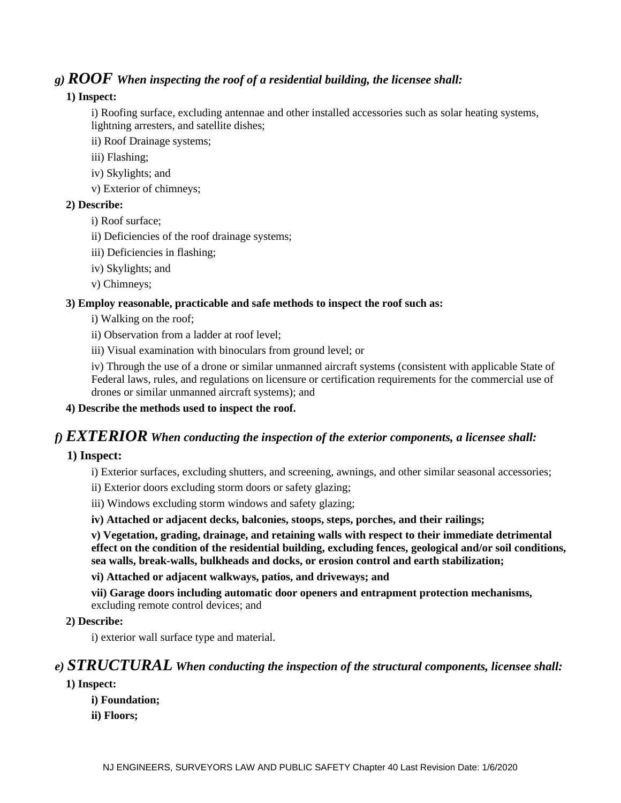# *g) ROOF When inspecting the roof of a residential building, the licensee shall:*

## **1) Inspect:**

i) Roofing surface, excluding antennae and other installed accessories such as solar heating systems, lightning arresters, and satellite dishes;

ii) Roof Drainage systems;

- iii) Flashing;
- iv) Skylights; and
- v) Exterior of chimneys;

#### **2) Describe:**

- i) Roof surface;
- ii) Deficiencies of the roof drainage systems;
- iii) Deficiencies in flashing;
- iv) Skylights; and
- v) Chimneys;

#### **3) Employ reasonable, practicable and safe methods to inspect the roof such as:**

i) Walking on the roof;

ii) Observation from a ladder at roof level;

iii) Visual examination with binoculars from ground level; or

iv) Through the use of a drone or similar unmanned aircraft systems (consistent with applicable State of Federal laws, rules, and regulations on licensure or certification requirements for the commercial use of drones or similar unmanned aircraft systems); and

#### **4) Describe the methods used to inspect the roof.**

# *f) EXTERIOR When conducting the inspection of the exterior components, a licensee shall:*

## **1) Inspect:**

i) Exterior surfaces, excluding shutters, and screening, awnings, and other similar seasonal accessories;

- ii) Exterior doors excluding storm doors or safety glazing;
- iii) Windows excluding storm windows and safety glazing;
- **iv) Attached or adjacent decks, balconies, stoops, steps, porches, and their railings;**

**v) Vegetation, grading, drainage, and retaining walls with respect to their immediate detrimental effect on the condition of the residential building, excluding fences, geological and/or soil conditions, sea walls, break-walls, bulkheads and docks, or erosion control and earth stabilization;** 

#### **vi) Attached or adjacent walkways, patios, and driveways; and**

**vii) Garage doors including automatic door openers and entrapment protection mechanisms,** excluding remote control devices; and

 **2) Describe:**

i) exterior wall surface type and material.

# *e) STRUCTURAL When conducting the inspection of the structural components, licensee shall:*

## **1) Inspect:**

- **i) Foundation;**
- **ii) Floors;**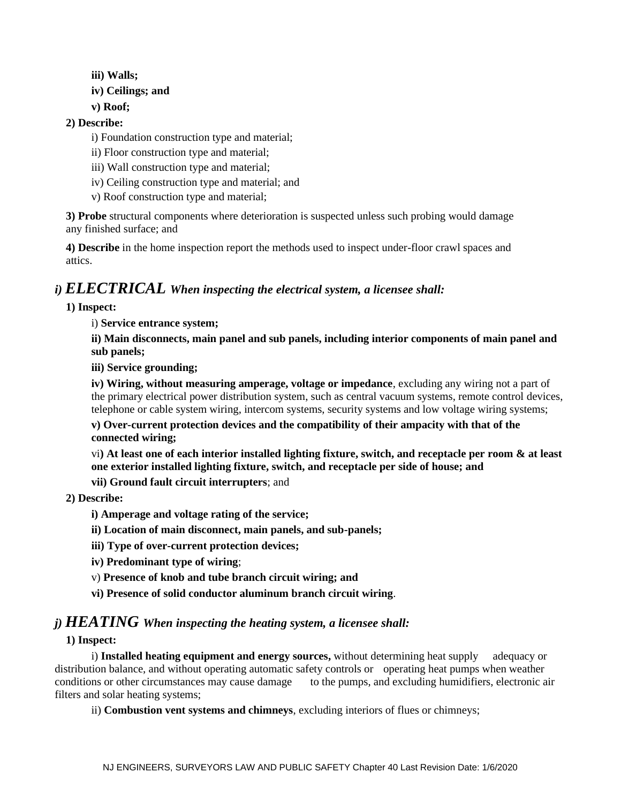- **iii) Walls;**
- **iv) Ceilings; and**
- **v) Roof;**
- **2) Describe:** 
	- i) Foundation construction type and material;
	- ii) Floor construction type and material;
	- iii) Wall construction type and material;
	- iv) Ceiling construction type and material; and
	- v) Roof construction type and material;

 **3) Probe** structural components where deterioration is suspected unless such probing would damage any finished surface; and

 **4) Describe** in the home inspection report the methods used to inspect under-floor crawl spaces and attics.

# *i) ELECTRICAL When inspecting the electrical system, a licensee shall:*

#### **1) Inspect:**

i) **Service entrance system;** 

**ii) Main disconnects, main panel and sub panels, including interior components of main panel and sub panels;** 

**iii) Service grounding;** 

**iv) Wiring, without measuring amperage, voltage or impedance**, excluding any wiring not a part of the primary electrical power distribution system, such as central vacuum systems, remote control devices, telephone or cable system wiring, intercom systems, security systems and low voltage wiring systems;

**v) Over-current protection devices and the compatibility of their ampacity with that of the connected wiring;** 

vi**) At least one of each interior installed lighting fixture, switch, and receptacle per room & at least one exterior installed lighting fixture, switch, and receptacle per side of house; and** 

**vii) Ground fault circuit interrupters**; and

#### **2) Describe:**

- **i) Amperage and voltage rating of the service;**
- **ii) Location of main disconnect, main panels, and sub-panels;**
- **iii) Type of over-current protection devices;**
- **iv) Predominant type of wiring**;
- v) **Presence of knob and tube branch circuit wiring; and**
- **vi) Presence of solid conductor aluminum branch circuit wiring**.

# *j) HEATING When inspecting the heating system, a licensee shall:*

#### **1) Inspect:**

i) **Installed heating equipment and energy sources,** without determining heat supply adequacy or distribution balance, and without operating automatic safety controls or operating heat pumps when weather conditions or other circumstances may cause damage to the pumps, and excluding humidifiers, electronic air filters and solar heating systems;

ii) **Combustion vent systems and chimneys**, excluding interiors of flues or chimneys;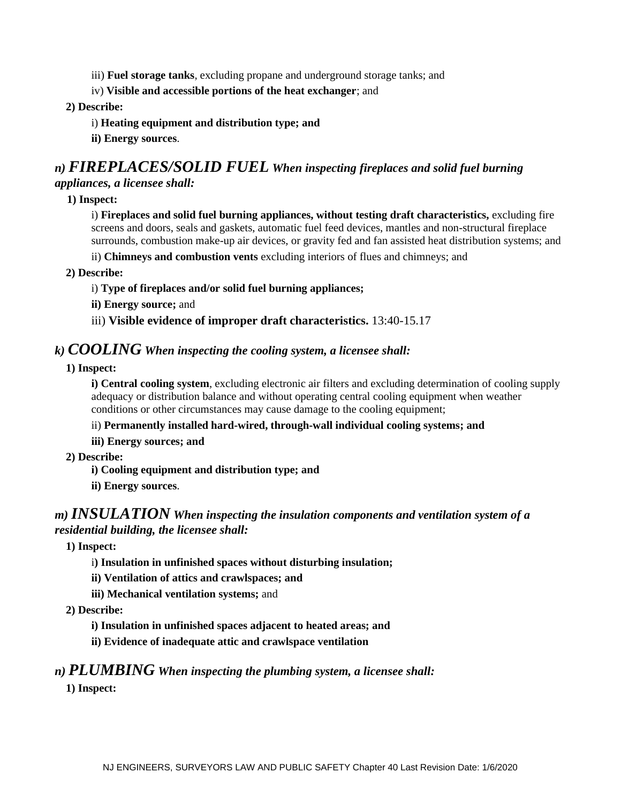iii) **Fuel storage tanks**, excluding propane and underground storage tanks; and

iv) **Visible and accessible portions of the heat exchanger**; and

## **2) Describe:**

- i) **Heating equipment and distribution type; and**
- **ii) Energy sources**.

# *n) FIREPLACES/SOLID FUEL When inspecting fireplaces and solid fuel burning*

## *appliances, a licensee shall:*

 **1) Inspect:** 

i) **Fireplaces and solid fuel burning appliances, without testing draft characteristics,** excluding fire screens and doors, seals and gaskets, automatic fuel feed devices, mantles and non-structural fireplace surrounds, combustion make-up air devices, or gravity fed and fan assisted heat distribution systems; and

ii) **Chimneys and combustion vents** excluding interiors of flues and chimneys; and

 **2) Describe:** 

#### i) **Type of fireplaces and/or solid fuel burning appliances;**

**ii) Energy source;** and

iii) **Visible evidence of improper draft characteristics.** 13:40-15.17

# *k) COOLING When inspecting the cooling system, a licensee shall:*

 **1) Inspect:** 

**i) Central cooling system**, excluding electronic air filters and excluding determination of cooling supply adequacy or distribution balance and without operating central cooling equipment when weather conditions or other circumstances may cause damage to the cooling equipment;

## ii) **Permanently installed hard-wired, through-wall individual cooling systems; and**

**iii) Energy sources; and** 

- **2) Describe:** 
	- **i) Cooling equipment and distribution type; and**
	- **ii) Energy sources**.

# *m) INSULATION When inspecting the insulation components and ventilation system of a residential building, the licensee shall:*

 **1) Inspect:** 

- i**) Insulation in unfinished spaces without disturbing insulation;**
- **ii) Ventilation of attics and crawlspaces; and**
- **iii) Mechanical ventilation systems;** and
- **2) Describe:** 
	- **i) Insulation in unfinished spaces adjacent to heated areas; and**
	- **ii) Evidence of inadequate attic and crawlspace ventilation**

# *n) PLUMBING When inspecting the plumbing system, a licensee shall:*

 **1) Inspect:**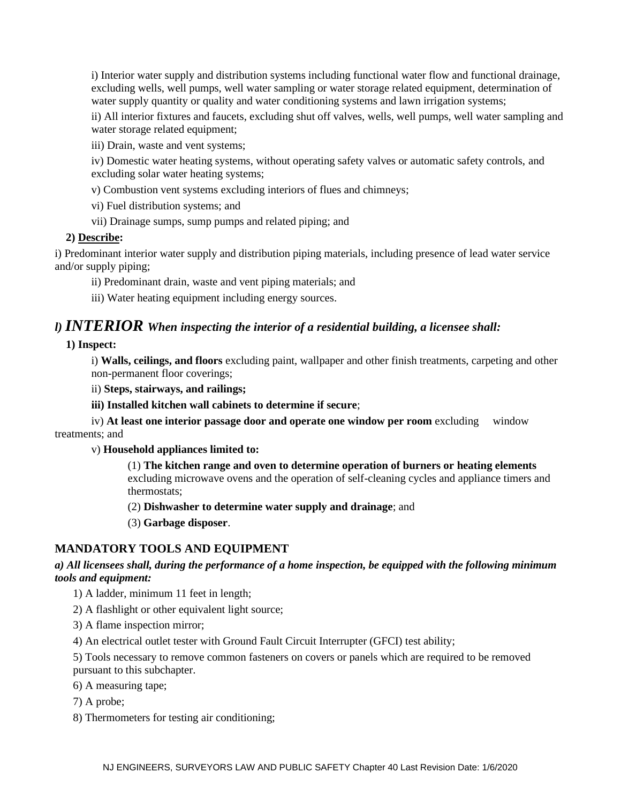i) Interior water supply and distribution systems including functional water flow and functional drainage, excluding wells, well pumps, well water sampling or water storage related equipment, determination of water supply quantity or quality and water conditioning systems and lawn irrigation systems;

ii) All interior fixtures and faucets, excluding shut off valves, wells, well pumps, well water sampling and water storage related equipment;

iii) Drain, waste and vent systems;

iv) Domestic water heating systems, without operating safety valves or automatic safety controls, and excluding solar water heating systems;

v) Combustion vent systems excluding interiors of flues and chimneys;

vi) Fuel distribution systems; and

vii) Drainage sumps, sump pumps and related piping; and

#### **2) Describe:**

i) Predominant interior water supply and distribution piping materials, including presence of lead water service and/or supply piping;

ii) Predominant drain, waste and vent piping materials; and

iii) Water heating equipment including energy sources.

## *l) INTERIOR When inspecting the interior of a residential building, a licensee shall:*

 **1) Inspect:** 

i) **Walls, ceilings, and floors** excluding paint, wallpaper and other finish treatments, carpeting and other non-permanent floor coverings;

ii) **Steps, stairways, and railings;** 

**iii) Installed kitchen wall cabinets to determine if secure**;

iv) **At least one interior passage door and operate one window per room** excluding window treatments; and

#### v) **Household appliances limited to:**

(1) **The kitchen range and oven to determine operation of burners or heating elements** excluding microwave ovens and the operation of self-cleaning cycles and appliance timers and thermostats;

(2) **Dishwasher to determine water supply and drainage**; and

(3) **Garbage disposer**.

#### **MANDATORY TOOLS AND EQUIPMENT**

## *a) All licensees shall, during the performance of a home inspection, be equipped with the following minimum tools and equipment:*

- 1) A ladder, minimum 11 feet in length;
- 2) A flashlight or other equivalent light source;
- 3) A flame inspection mirror;

4) An electrical outlet tester with Ground Fault Circuit Interrupter (GFCI) test ability;

5) Tools necessary to remove common fasteners on covers or panels which are required to be removed pursuant to this subchapter.

6) A measuring tape;

7) A probe;

8) Thermometers for testing air conditioning;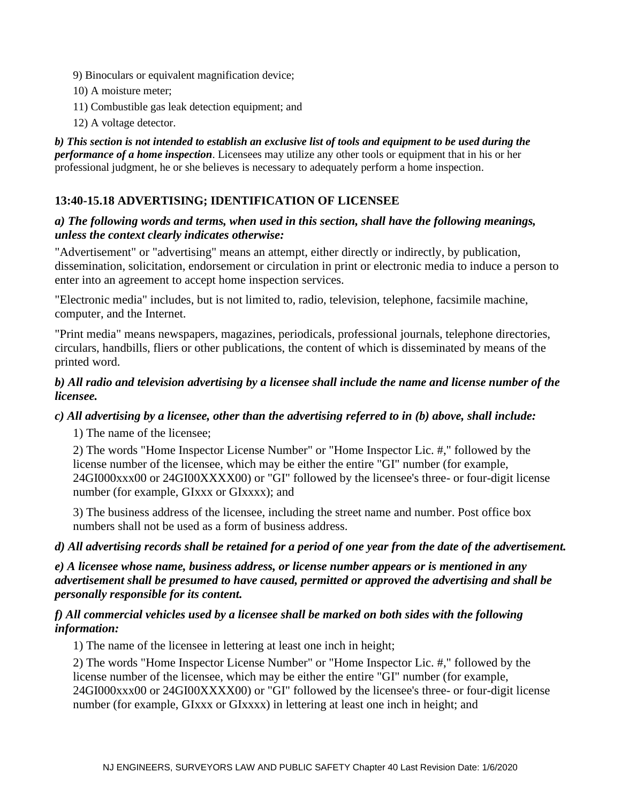- 9) Binoculars or equivalent magnification device;
- 10) A moisture meter;
- 11) Combustible gas leak detection equipment; and
- 12) A voltage detector.

*b) This section is not intended to establish an exclusive list of tools and equipment to be used during the performance of a home inspection*. Licensees may utilize any other tools or equipment that in his or her professional judgment, he or she believes is necessary to adequately perform a home inspection.

## **13:40-15.18 ADVERTISING; IDENTIFICATION OF LICENSEE**

## *a) The following words and terms, when used in this section, shall have the following meanings, unless the context clearly indicates otherwise:*

"Advertisement" or "advertising" means an attempt, either directly or indirectly, by publication, dissemination, solicitation, endorsement or circulation in print or electronic media to induce a person to enter into an agreement to accept home inspection services.

"Electronic media" includes, but is not limited to, radio, television, telephone, facsimile machine, computer, and the Internet.

"Print media" means newspapers, magazines, periodicals, professional journals, telephone directories, circulars, handbills, fliers or other publications, the content of which is disseminated by means of the printed word.

## *b) All radio and television advertising by a licensee shall include the name and license number of the licensee.*

## *c) All advertising by a licensee, other than the advertising referred to in (b) above, shall include:*

1) The name of the licensee;

2) The words "Home Inspector License Number" or "Home Inspector Lic. #," followed by the license number of the licensee, which may be either the entire "GI" number (for example, 24GI000xxx00 or 24GI00XXXX00) or "GI" followed by the licensee's three- or four-digit license number (for example, GIxxx or GIxxxx); and

3) The business address of the licensee, including the street name and number. Post office box numbers shall not be used as a form of business address.

## *d) All advertising records shall be retained for a period of one year from the date of the advertisement.*

*e) A licensee whose name, business address, or license number appears or is mentioned in any advertisement shall be presumed to have caused, permitted or approved the advertising and shall be personally responsible for its content.*

## *f) All commercial vehicles used by a licensee shall be marked on both sides with the following information:*

1) The name of the licensee in lettering at least one inch in height;

2) The words "Home Inspector License Number" or "Home Inspector Lic. #," followed by the license number of the licensee, which may be either the entire "GI" number (for example, 24GI000xxx00 or 24GI00XXXX00) or "GI" followed by the licensee's three- or four-digit license number (for example, GIxxx or GIxxxx) in lettering at least one inch in height; and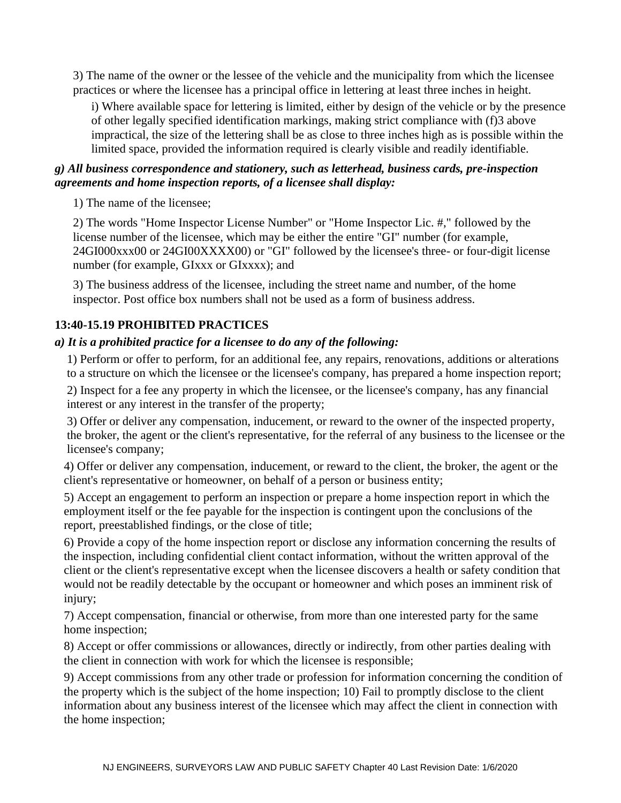3) The name of the owner or the lessee of the vehicle and the municipality from which the licensee practices or where the licensee has a principal office in lettering at least three inches in height.

i) Where available space for lettering is limited, either by design of the vehicle or by the presence of other legally specified identification markings, making strict compliance with (f)3 above impractical, the size of the lettering shall be as close to three inches high as is possible within the limited space, provided the information required is clearly visible and readily identifiable.

# *g) All business correspondence and stationery, such as letterhead, business cards, pre-inspection agreements and home inspection reports, of a licensee shall display:*

1) The name of the licensee;

2) The words "Home Inspector License Number" or "Home Inspector Lic. #," followed by the license number of the licensee, which may be either the entire "GI" number (for example, 24GI000xxx00 or 24GI00XXXX00) or "GI" followed by the licensee's three- or four-digit license number (for example, GIxxx or GIxxxx); and

3) The business address of the licensee, including the street name and number, of the home inspector. Post office box numbers shall not be used as a form of business address.

# **13:40-15.19 PROHIBITED PRACTICES**

# *a) It is a prohibited practice for a licensee to do any of the following:*

 1) Perform or offer to perform, for an additional fee, any repairs, renovations, additions or alterations to a structure on which the licensee or the licensee's company, has prepared a home inspection report;

 2) Inspect for a fee any property in which the licensee, or the licensee's company, has any financial interest or any interest in the transfer of the property;

 3) Offer or deliver any compensation, inducement, or reward to the owner of the inspected property, the broker, the agent or the client's representative, for the referral of any business to the licensee or the licensee's company;

 4) Offer or deliver any compensation, inducement, or reward to the client, the broker, the agent or the client's representative or homeowner, on behalf of a person or business entity;

5) Accept an engagement to perform an inspection or prepare a home inspection report in which the employment itself or the fee payable for the inspection is contingent upon the conclusions of the report, preestablished findings, or the close of title;

6) Provide a copy of the home inspection report or disclose any information concerning the results of the inspection, including confidential client contact information, without the written approval of the client or the client's representative except when the licensee discovers a health or safety condition that would not be readily detectable by the occupant or homeowner and which poses an imminent risk of injury;

7) Accept compensation, financial or otherwise, from more than one interested party for the same home inspection;

8) Accept or offer commissions or allowances, directly or indirectly, from other parties dealing with the client in connection with work for which the licensee is responsible;

9) Accept commissions from any other trade or profession for information concerning the condition of the property which is the subject of the home inspection; 10) Fail to promptly disclose to the client information about any business interest of the licensee which may affect the client in connection with the home inspection;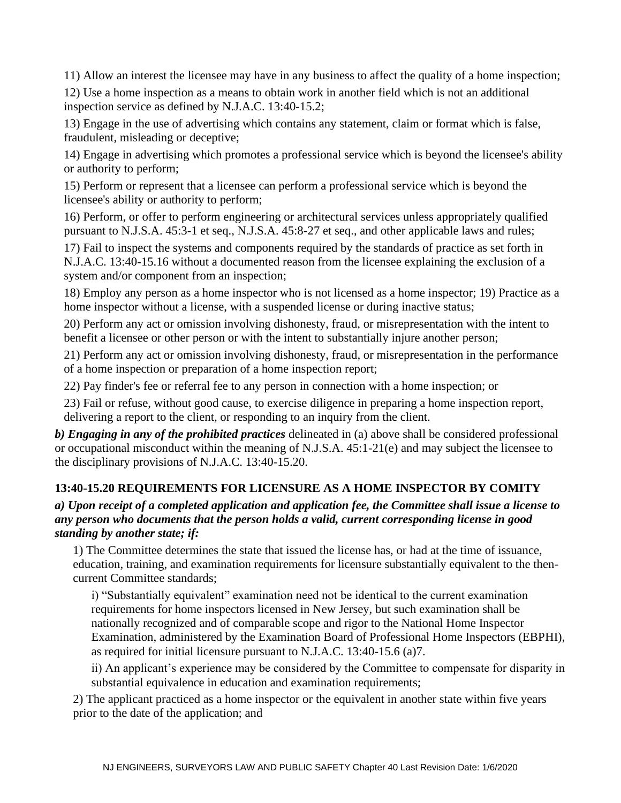11) Allow an interest the licensee may have in any business to affect the quality of a home inspection;

12) Use a home inspection as a means to obtain work in another field which is not an additional inspection service as defined by N.J.A.C. 13:40-15.2;

13) Engage in the use of advertising which contains any statement, claim or format which is false, fraudulent, misleading or deceptive;

14) Engage in advertising which promotes a professional service which is beyond the licensee's ability or authority to perform;

15) Perform or represent that a licensee can perform a professional service which is beyond the licensee's ability or authority to perform;

16) Perform, or offer to perform engineering or architectural services unless appropriately qualified pursuant to N.J.S.A. 45:3-1 et seq., N.J.S.A. 45:8-27 et seq., and other applicable laws and rules;

17) Fail to inspect the systems and components required by the standards of practice as set forth in N.J.A.C. 13:40-15.16 without a documented reason from the licensee explaining the exclusion of a system and/or component from an inspection;

18) Employ any person as a home inspector who is not licensed as a home inspector; 19) Practice as a home inspector without a license, with a suspended license or during inactive status;

20) Perform any act or omission involving dishonesty, fraud, or misrepresentation with the intent to benefit a licensee or other person or with the intent to substantially injure another person;

21) Perform any act or omission involving dishonesty, fraud, or misrepresentation in the performance of a home inspection or preparation of a home inspection report;

22) Pay finder's fee or referral fee to any person in connection with a home inspection; or

23) Fail or refuse, without good cause, to exercise diligence in preparing a home inspection report, delivering a report to the client, or responding to an inquiry from the client.

*b) Engaging in any of the prohibited practices* delineated in (a) above shall be considered professional or occupational misconduct within the meaning of N.J.S.A. 45:1-21(e) and may subject the licensee to the disciplinary provisions of N.J.A.C. 13:40-15.20.

# **13:40-15.20 REQUIREMENTS FOR LICENSURE AS A HOME INSPECTOR BY COMITY**

# *a) Upon receipt of a completed application and application fee, the Committee shall issue a license to any person who documents that the person holds a valid, current corresponding license in good standing by another state; if:*

1) The Committee determines the state that issued the license has, or had at the time of issuance, education, training, and examination requirements for licensure substantially equivalent to the thencurrent Committee standards;

i) "Substantially equivalent" examination need not be identical to the current examination requirements for home inspectors licensed in New Jersey, but such examination shall be nationally recognized and of comparable scope and rigor to the National Home Inspector Examination, administered by the Examination Board of Professional Home Inspectors (EBPHI), as required for initial licensure pursuant to N.J.A.C. 13:40-15.6 (a)7.

ii) An applicant's experience may be considered by the Committee to compensate for disparity in substantial equivalence in education and examination requirements;

2) The applicant practiced as a home inspector or the equivalent in another state within five years prior to the date of the application; and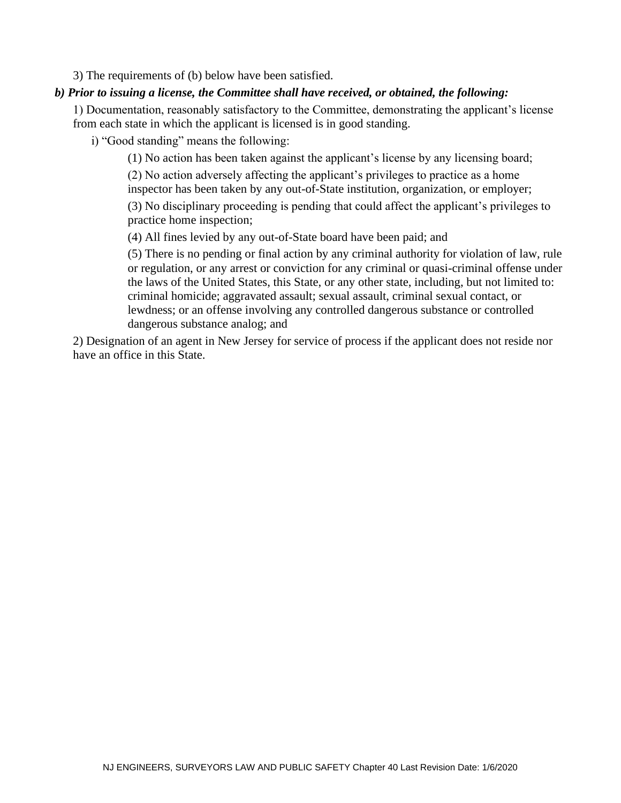3) The requirements of (b) below have been satisfied.

## *b) Prior to issuing a license, the Committee shall have received, or obtained, the following:*

1) Documentation, reasonably satisfactory to the Committee, demonstrating the applicant's license from each state in which the applicant is licensed is in good standing.

i) "Good standing" means the following:

(1) No action has been taken against the applicant's license by any licensing board; (2) No action adversely affecting the applicant's privileges to practice as a home

inspector has been taken by any out-of-State institution, organization, or employer;

(3) No disciplinary proceeding is pending that could affect the applicant's privileges to practice home inspection;

(4) All fines levied by any out-of-State board have been paid; and

(5) There is no pending or final action by any criminal authority for violation of law, rule or regulation, or any arrest or conviction for any criminal or quasi-criminal offense under the laws of the United States, this State, or any other state, including, but not limited to: criminal homicide; aggravated assault; sexual assault, criminal sexual contact, or lewdness; or an offense involving any controlled dangerous substance or controlled dangerous substance analog; and

2) Designation of an agent in New Jersey for service of process if the applicant does not reside nor have an office in this State.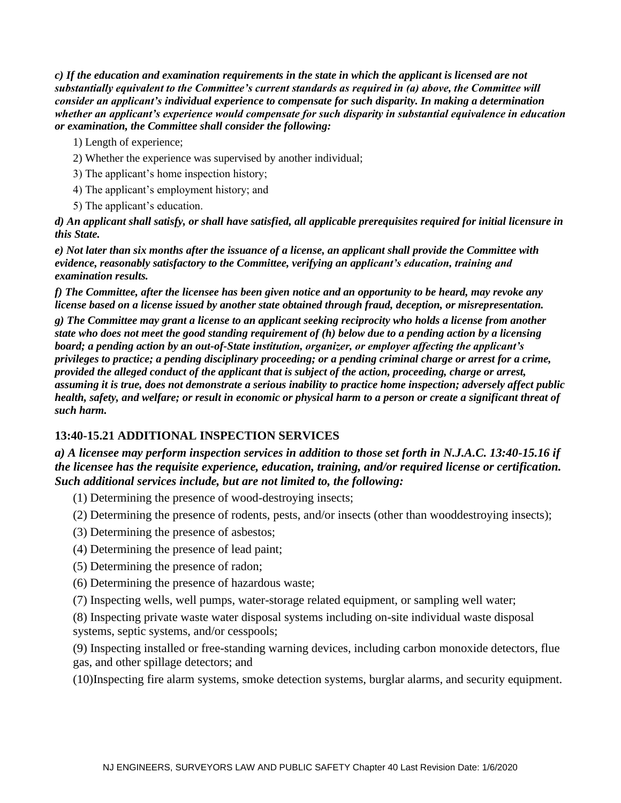*c) If the education and examination requirements in the state in which the applicant is licensed are not substantially equivalent to the Committee's current standards as required in (a) above, the Committee will consider an applicant's individual experience to compensate for such disparity. In making a determination whether an applicant's experience would compensate for such disparity in substantial equivalence in education or examination, the Committee shall consider the following:*

1) Length of experience;

- 2) Whether the experience was supervised by another individual;
- 3) The applicant's home inspection history;
- 4) The applicant's employment history; and
- 5) The applicant's education.

*d) An applicant shall satisfy, or shall have satisfied, all applicable prerequisites required for initial licensure in this State.* 

*e) Not later than six months after the issuance of a license, an applicant shall provide the Committee with evidence, reasonably satisfactory to the Committee, verifying an applicant's education, training and examination results.* 

*f) The Committee, after the licensee has been given notice and an opportunity to be heard, may revoke any license based on a license issued by another state obtained through fraud, deception, or misrepresentation.* 

*g) The Committee may grant a license to an applicant seeking reciprocity who holds a license from another state who does not meet the good standing requirement of (h) below due to a pending action by a licensing board; a pending action by an out-of-State institution, organizer, or employer affecting the applicant's privileges to practice; a pending disciplinary proceeding; or a pending criminal charge or arrest for a crime, provided the alleged conduct of the applicant that is subject of the action, proceeding, charge or arrest, assuming it is true, does not demonstrate a serious inability to practice home inspection; adversely affect public health, safety, and welfare; or result in economic or physical harm to a person or create a significant threat of such harm.* 

# **13:40-15.21 ADDITIONAL INSPECTION SERVICES**

*a) A licensee may perform inspection services in addition to those set forth in N.J.A.C. 13:40-15.16 if the licensee has the requisite experience, education, training, and/or required license or certification. Such additional services include, but are not limited to, the following:*

- (1) Determining the presence of wood-destroying insects;
- (2) Determining the presence of rodents, pests, and/or insects (other than wooddestroying insects);
- (3) Determining the presence of asbestos;
- (4) Determining the presence of lead paint;
- (5) Determining the presence of radon;
- (6) Determining the presence of hazardous waste;
- (7) Inspecting wells, well pumps, water-storage related equipment, or sampling well water;

(8) Inspecting private waste water disposal systems including on-site individual waste disposal systems, septic systems, and/or cesspools;

(9) Inspecting installed or free-standing warning devices, including carbon monoxide detectors, flue gas, and other spillage detectors; and

(10)Inspecting fire alarm systems, smoke detection systems, burglar alarms, and security equipment.